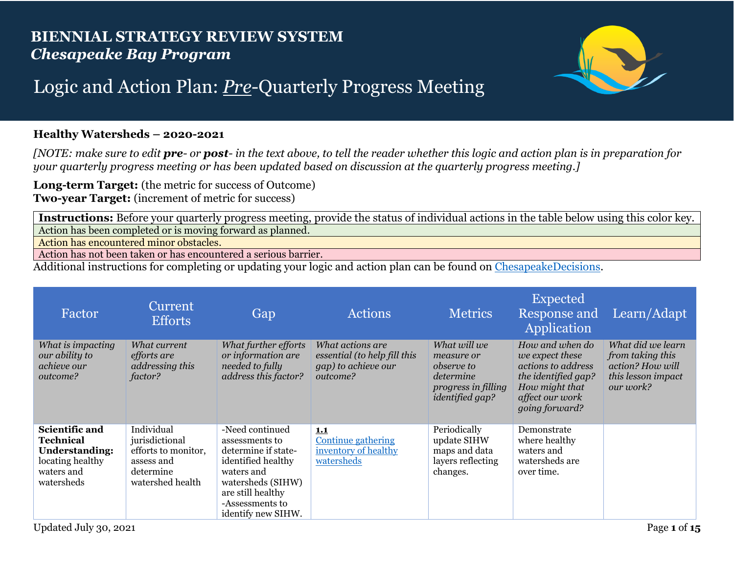## **BIENNIAL STRATEGY REVIEW SYSTEM** *Chesapeake Bay Program*



## Logic and Action Plan: *Pre*-Quarterly Progress Meeting

## **Healthy Watersheds – 2020-2021**

*[NOTE: make sure to edit pre- or post- in the text above, to tell the reader whether this logic and action plan is in preparation for your quarterly progress meeting or has been updated based on discussion at the quarterly progress meeting.]*

**Long-term Target:** (the metric for success of Outcome) **Two-year Target:** (increment of metric for success)

**Instructions:** Before your quarterly progress meeting, provide the status of individual actions in the table below using this color key. Action has been completed or is moving forward as planned.

Action has encountered minor obstacles.

Action has not been taken or has encountered a serious barrier.

Additional instructions for completing or updating your logic and action plan can be found on [ChesapeakeDecisions.](http://www.chesapeakebay.net/decisions/srs-guide)

| Factor                                                                                                      | Current<br><b>Efforts</b>                                                                          | Gap                                                                                                                                                                             | <b>Actions</b>                                                                      | <b>Metrics</b>                                                                                                | Expected<br>Response and<br>Application                                                                                                | Learn/Adapt                                                                                  |
|-------------------------------------------------------------------------------------------------------------|----------------------------------------------------------------------------------------------------|---------------------------------------------------------------------------------------------------------------------------------------------------------------------------------|-------------------------------------------------------------------------------------|---------------------------------------------------------------------------------------------------------------|----------------------------------------------------------------------------------------------------------------------------------------|----------------------------------------------------------------------------------------------|
| What is impacting<br>our ability to<br>achieve our<br>outcome?                                              | What current<br>efforts are<br>addressing this<br>factor?                                          | What further efforts<br>or information are<br>needed to fully<br>address this factor?                                                                                           | What actions are<br>essential (to help fill this<br>gap) to achieve our<br>outcome? | What will we<br>measure or<br><i>observe to</i><br>determine<br>progress in filling<br><i>identified gap?</i> | How and when do<br>we expect these<br>actions to address<br>the identified gap?<br>How might that<br>affect our work<br>going forward? | What did we learn<br>from taking this<br>action? How will<br>this lesson impact<br>our work? |
| Scientific and<br><b>Technical</b><br><b>Understanding:</b><br>locating healthy<br>waters and<br>watersheds | Individual<br>jurisdictional<br>efforts to monitor,<br>assess and<br>determine<br>watershed health | -Need continued<br>assessments to<br>determine if state-<br>identified healthy<br>waters and<br>watersheds (SIHW)<br>are still healthy<br>-Assessments to<br>identify new SIHW. | 1.1<br><b>Continue gathering</b><br>inventory of healthy<br>watersheds              | Periodically<br>update SIHW<br>maps and data<br>layers reflecting<br>changes.                                 | Demonstrate<br>where healthy<br>waters and<br>watersheds are<br>over time.                                                             |                                                                                              |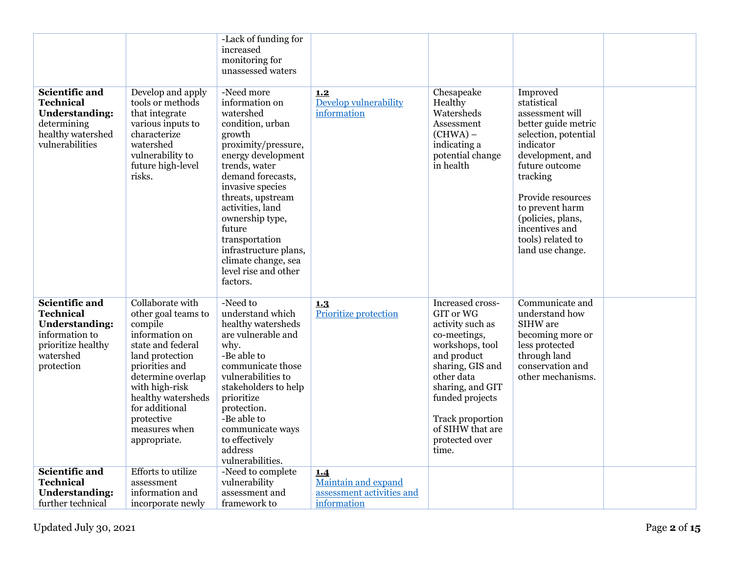|                                                                                                                                |                                                                                                                                                                                                                                                              | -Lack of funding for<br>increased<br>monitoring for<br>unassessed waters                                                                                                                                                                                                                                                                                   |                                                         |                                                                                                                                                                                                                                                 |                                                                                                                                                                                                                                                                                  |  |
|--------------------------------------------------------------------------------------------------------------------------------|--------------------------------------------------------------------------------------------------------------------------------------------------------------------------------------------------------------------------------------------------------------|------------------------------------------------------------------------------------------------------------------------------------------------------------------------------------------------------------------------------------------------------------------------------------------------------------------------------------------------------------|---------------------------------------------------------|-------------------------------------------------------------------------------------------------------------------------------------------------------------------------------------------------------------------------------------------------|----------------------------------------------------------------------------------------------------------------------------------------------------------------------------------------------------------------------------------------------------------------------------------|--|
| <b>Scientific and</b><br><b>Technical</b><br><b>Understanding:</b><br>determining<br>healthy watershed<br>vulnerabilities      | Develop and apply<br>tools or methods<br>that integrate<br>various inputs to<br>characterize<br>watershed<br>vulnerability to<br>future high-level<br>risks.                                                                                                 | -Need more<br>information on<br>watershed<br>condition, urban<br>growth<br>proximity/pressure,<br>energy development<br>trends, water<br>demand forecasts,<br>invasive species<br>threats, upstream<br>activities, land<br>ownership type,<br>future<br>transportation<br>infrastructure plans,<br>climate change, sea<br>level rise and other<br>factors. | 1.2<br>Develop vulnerability<br>information             | Chesapeake<br>Healthy<br>Watersheds<br>Assessment<br>(CHWA) –<br>indicating a<br>potential change<br>in health                                                                                                                                  | Improved<br>statistical<br>assessment will<br>better guide metric<br>selection, potential<br>indicator<br>development, and<br>future outcome<br>tracking<br>Provide resources<br>to prevent harm<br>(policies, plans,<br>incentives and<br>tools) related to<br>land use change. |  |
| Scientific and<br><b>Technical</b><br><b>Understanding:</b><br>information to<br>prioritize healthy<br>watershed<br>protection | Collaborate with<br>other goal teams to<br>compile<br>information on<br>state and federal<br>land protection<br>priorities and<br>determine overlap<br>with high-risk<br>healthy watersheds<br>for additional<br>protective<br>measures when<br>appropriate. | -Need to<br>understand which<br>healthy watersheds<br>are vulnerable and<br>why.<br>-Be able to<br>communicate those<br>vulnerabilities to<br>stakeholders to help<br>prioritize<br>protection.<br>-Be able to<br>communicate ways<br>to effectively<br>address<br>vulnerabilities.                                                                        | 1.3<br>Prioritize protection                            | Increased cross-<br>GIT or WG<br>activity such as<br>co-meetings,<br>workshops, tool<br>and product<br>sharing, GIS and<br>other data<br>sharing, and GIT<br>funded projects<br>Track proportion<br>of SIHW that are<br>protected over<br>time. | Communicate and<br>understand how<br>SIHW are<br>becoming more or<br>less protected<br>through land<br>conservation and<br>other mechanisms.                                                                                                                                     |  |
| <b>Scientific and</b><br><b>Technical</b><br><b>Understanding:</b>                                                             | <b>Efforts</b> to utilize<br>assessment<br>information and                                                                                                                                                                                                   | -Need to complete<br>vulnerability<br>assessment and                                                                                                                                                                                                                                                                                                       | 1.4<br>Maintain and expand<br>assessment activities and |                                                                                                                                                                                                                                                 |                                                                                                                                                                                                                                                                                  |  |
| further technical                                                                                                              | incorporate newly                                                                                                                                                                                                                                            | framework to                                                                                                                                                                                                                                                                                                                                               | information                                             |                                                                                                                                                                                                                                                 |                                                                                                                                                                                                                                                                                  |  |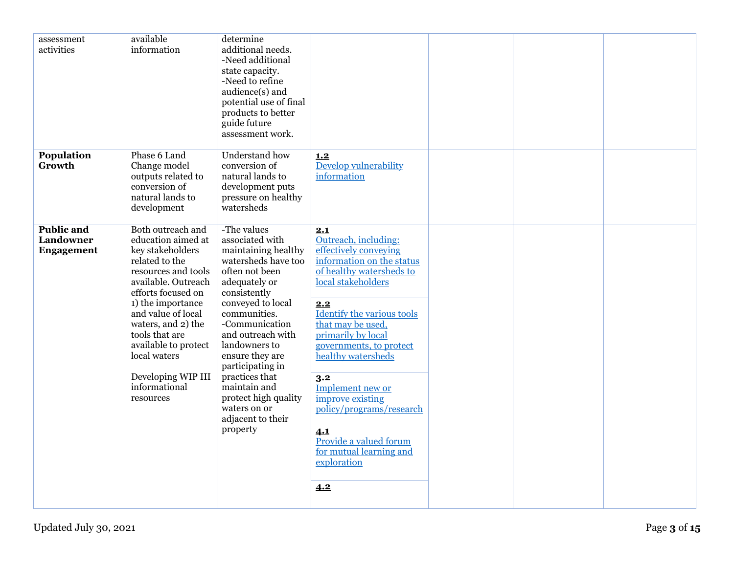| assessment<br>activities                            | available<br>information                                                                                                                                                                                                                                                                                                         | determine<br>additional needs.<br>-Need additional<br>state capacity.<br>-Need to refine<br>audience(s) and<br>potential use of final<br>products to better<br>guide future<br>assessment work.                                                                                                                                                                                |                                                                                                                                                                                                                                                                                                                                                                                                                                   |  |  |
|-----------------------------------------------------|----------------------------------------------------------------------------------------------------------------------------------------------------------------------------------------------------------------------------------------------------------------------------------------------------------------------------------|--------------------------------------------------------------------------------------------------------------------------------------------------------------------------------------------------------------------------------------------------------------------------------------------------------------------------------------------------------------------------------|-----------------------------------------------------------------------------------------------------------------------------------------------------------------------------------------------------------------------------------------------------------------------------------------------------------------------------------------------------------------------------------------------------------------------------------|--|--|
| Population<br>Growth                                | Phase 6 Land<br>Change model<br>outputs related to<br>conversion of<br>natural lands to<br>development                                                                                                                                                                                                                           | Understand how<br>conversion of<br>natural lands to<br>development puts<br>pressure on healthy<br>watersheds                                                                                                                                                                                                                                                                   | 1.2<br>Develop vulnerability<br>information                                                                                                                                                                                                                                                                                                                                                                                       |  |  |
| <b>Public and</b><br>Landowner<br><b>Engagement</b> | Both outreach and<br>education aimed at<br>key stakeholders<br>related to the<br>resources and tools<br>available. Outreach<br>efforts focused on<br>1) the importance<br>and value of local<br>waters, and 2) the<br>tools that are<br>available to protect<br>local waters<br>Developing WIP III<br>informational<br>resources | -The values<br>associated with<br>maintaining healthy<br>watersheds have too<br>often not been<br>adequately or<br>consistently<br>conveyed to local<br>communities.<br>-Communication<br>and outreach with<br>landowners to<br>ensure they are<br>participating in<br>practices that<br>maintain and<br>protect high quality<br>waters on or<br>adjacent to their<br>property | 2.1<br>Outreach, including:<br>effectively conveying<br>information on the status<br>of healthy watersheds to<br>local stakeholders<br>2.2<br>Identify the various tools<br>that may be used,<br>primarily by local<br>governments, to protect<br>healthy watersheds<br>3.2<br>Implement new or<br>improve existing<br>policy/programs/research<br>4.1<br>Provide a valued forum<br>for mutual learning and<br>exploration<br>4.2 |  |  |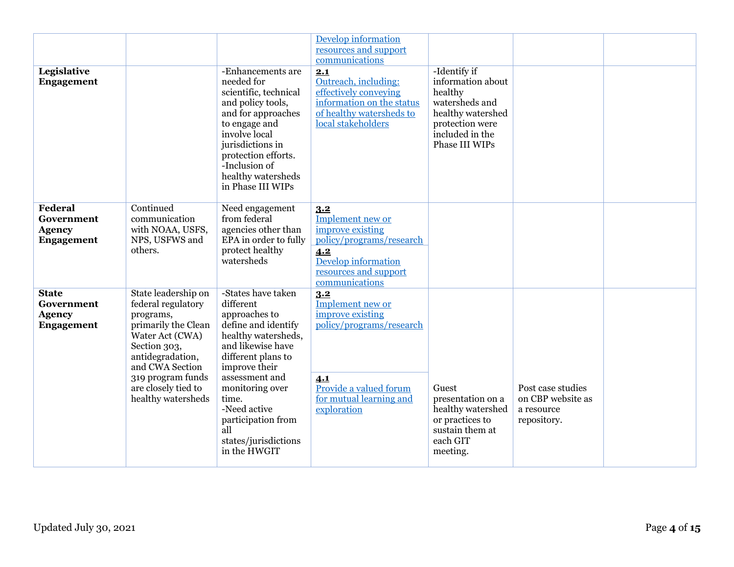|                                                                  |                                                                                                                                                                                                                           |                                                                                                                                                                                                                                                                                               | <b>Develop information</b><br>resources and support<br>communications                                                                              |                                                                                                                                             |                                                                     |  |
|------------------------------------------------------------------|---------------------------------------------------------------------------------------------------------------------------------------------------------------------------------------------------------------------------|-----------------------------------------------------------------------------------------------------------------------------------------------------------------------------------------------------------------------------------------------------------------------------------------------|----------------------------------------------------------------------------------------------------------------------------------------------------|---------------------------------------------------------------------------------------------------------------------------------------------|---------------------------------------------------------------------|--|
| Legislative<br><b>Engagement</b>                                 |                                                                                                                                                                                                                           | -Enhancements are<br>needed for<br>scientific, technical<br>and policy tools,<br>and for approaches<br>to engage and<br>involve local<br>jurisdictions in<br>protection efforts.<br>-Inclusion of<br>healthy watersheds<br>in Phase III WIPs                                                  | 2.1<br>Outreach, including:<br>effectively conveying<br>information on the status<br>of healthy watersheds to<br>local stakeholders                | -Identify if<br>information about<br>healthy<br>watersheds and<br>healthy watershed<br>protection were<br>included in the<br>Phase III WIPs |                                                                     |  |
| Federal<br>Government<br><b>Agency</b><br><b>Engagement</b>      | Continued<br>communication<br>with NOAA, USFS,<br>NPS, USFWS and<br>others.                                                                                                                                               | Need engagement<br>from federal<br>agencies other than<br>EPA in order to fully<br>protect healthy<br>watersheds                                                                                                                                                                              | 3.2<br>Implement new or<br>improve existing<br>policy/programs/research<br>4.2<br>Develop information<br>resources and support<br>communications   |                                                                                                                                             |                                                                     |  |
| <b>State</b><br>Government<br><b>Agency</b><br><b>Engagement</b> | State leadership on<br>federal regulatory<br>programs,<br>primarily the Clean<br>Water Act (CWA)<br>Section 303,<br>antidegradation,<br>and CWA Section<br>319 program funds<br>are closely tied to<br>healthy watersheds | -States have taken<br>different<br>approaches to<br>define and identify<br>healthy watersheds,<br>and likewise have<br>different plans to<br>improve their<br>assessment and<br>monitoring over<br>time.<br>-Need active<br>participation from<br>all<br>states/jurisdictions<br>in the HWGIT | 3.2<br>Implement new or<br>improve existing<br>policy/programs/research<br>4.1<br>Provide a valued forum<br>for mutual learning and<br>exploration | Guest<br>presentation on a<br>healthy watershed<br>or practices to<br>sustain them at<br>each GIT<br>meeting.                               | Post case studies<br>on CBP website as<br>a resource<br>repository. |  |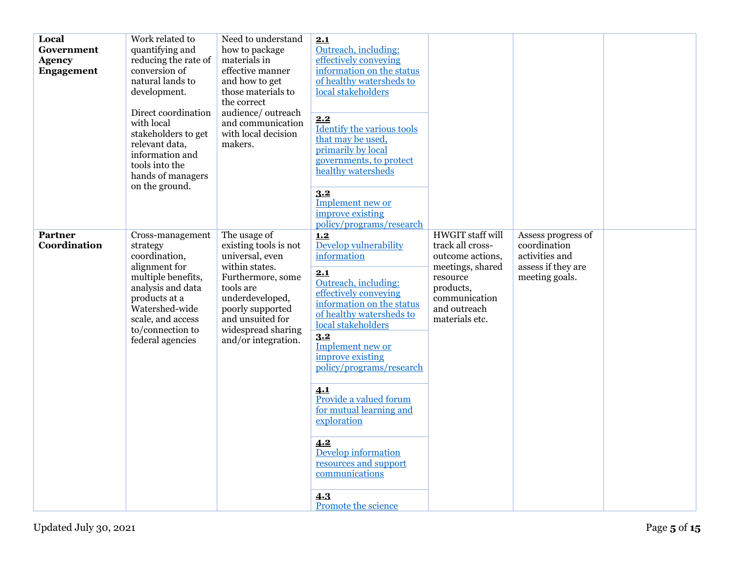| Local<br>Government<br><b>Agency</b><br><b>Engagement</b> | Work related to<br>quantifying and<br>reducing the rate of<br>conversion of<br>natural lands to<br>development.<br>Direct coordination<br>with local<br>stakeholders to get<br>relevant data,<br>information and<br>tools into the<br>hands of managers<br>on the ground. | Need to understand<br>how to package<br>materials in<br>effective manner<br>and how to get<br>those materials to<br>the correct<br>audience/outreach<br>and communication<br>with local decision<br>makers.          | 2.1<br>Outreach, including:<br>effectively conveying<br>information on the status<br>of healthy watersheds to<br>local stakeholders<br>2.2<br><b>Identify the various tools</b><br>that may be used.<br>primarily by local<br>governments, to protect<br>healthy watersheds<br>3.2<br>Implement new or<br>improve existing<br>policy/programs/research                                                                                          |                                                                                                                                                          |                                                                                              |  |
|-----------------------------------------------------------|---------------------------------------------------------------------------------------------------------------------------------------------------------------------------------------------------------------------------------------------------------------------------|----------------------------------------------------------------------------------------------------------------------------------------------------------------------------------------------------------------------|-------------------------------------------------------------------------------------------------------------------------------------------------------------------------------------------------------------------------------------------------------------------------------------------------------------------------------------------------------------------------------------------------------------------------------------------------|----------------------------------------------------------------------------------------------------------------------------------------------------------|----------------------------------------------------------------------------------------------|--|
| <b>Partner</b><br>Coordination                            | Cross-management<br>strategy<br>coordination,<br>alignment for<br>multiple benefits,<br>analysis and data<br>products at a<br>Watershed-wide<br>scale, and access<br>to/connection to<br>federal agencies                                                                 | The usage of<br>existing tools is not<br>universal, even<br>within states.<br>Furthermore, some<br>tools are<br>underdeveloped,<br>poorly supported<br>and unsuited for<br>widespread sharing<br>and/or integration. | 1,2<br>Develop vulnerability<br>information<br>2.1<br>Outreach, including:<br>effectively conveying<br>information on the status<br>of healthy watersheds to<br>local stakeholders<br>3.2<br>Implement new or<br>improve existing<br>policy/programs/research<br>4.1<br>Provide a valued forum<br>for mutual learning and<br>exploration<br>4.2<br>Develop information<br>resources and support<br>communications<br>4.3<br>Promote the science | HWGIT staff will<br>track all cross-<br>outcome actions,<br>meetings, shared<br>resource<br>products,<br>communication<br>and outreach<br>materials etc. | Assess progress of<br>coordination<br>activities and<br>assess if they are<br>meeting goals. |  |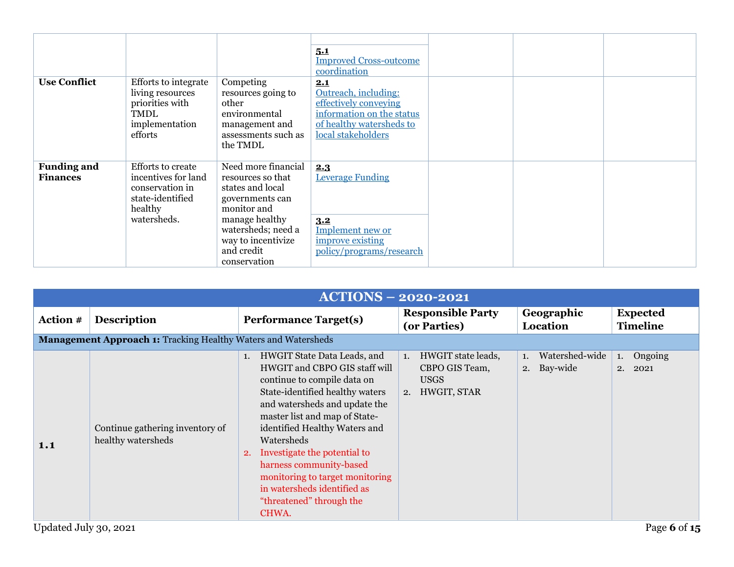| <b>Use Conflict</b>                   | Efforts to integrate<br>living resources<br>priorities with<br>TMDL<br>implementation<br>efforts                 | Competing<br>resources going to<br>other<br>environmental<br>management and<br>assessments such as<br>the TMDL                                                                             | 5.1<br><b>Improved Cross-outcome</b><br>coordination<br>2.1<br>Outreach, including:<br>effectively conveying<br>information on the status<br>of healthy watersheds to<br>local stakeholders |  |  |
|---------------------------------------|------------------------------------------------------------------------------------------------------------------|--------------------------------------------------------------------------------------------------------------------------------------------------------------------------------------------|---------------------------------------------------------------------------------------------------------------------------------------------------------------------------------------------|--|--|
| <b>Funding and</b><br><b>Finances</b> | <b>Efforts to create</b><br>incentives for land<br>conservation in<br>state-identified<br>healthy<br>watersheds. | Need more financial<br>resources so that<br>states and local<br>governments can<br>monitor and<br>manage healthy<br>watersheds; need a<br>way to incentivize<br>and credit<br>conservation | 2.3<br><b>Leverage Funding</b><br>3.2<br>Implement new or<br>improve existing<br>policy/programs/research                                                                                   |  |  |

<span id="page-5-0"></span>

|                 |                                                                      | <b>ACTIONS - 2020-2021</b>                                                                                                                                                                                                                                                                                                                                                                                                    |                                                                             |                                     |                                    |
|-----------------|----------------------------------------------------------------------|-------------------------------------------------------------------------------------------------------------------------------------------------------------------------------------------------------------------------------------------------------------------------------------------------------------------------------------------------------------------------------------------------------------------------------|-----------------------------------------------------------------------------|-------------------------------------|------------------------------------|
| <b>Action #</b> | <b>Description</b>                                                   | <b>Performance Target(s)</b>                                                                                                                                                                                                                                                                                                                                                                                                  | <b>Responsible Party</b><br>(or Parties)                                    | Geographic<br>Location              | <b>Expected</b><br><b>Timeline</b> |
|                 | <b>Management Approach 1: Tracking Healthy Waters and Watersheds</b> |                                                                                                                                                                                                                                                                                                                                                                                                                               |                                                                             |                                     |                                    |
| 1.1             | Continue gathering inventory of<br>healthy watersheds                | HWGIT State Data Leads, and<br>1.<br>HWGIT and CBPO GIS staff will<br>continue to compile data on<br>State-identified healthy waters<br>and watersheds and update the<br>master list and map of State-<br>identified Healthy Waters and<br>Watersheds<br>Investigate the potential to<br>2.<br>harness community-based<br>monitoring to target monitoring<br>in watersheds identified as<br>"threatened" through the<br>CHWA. | HWGIT state leads,<br>1.<br>CBPO GIS Team,<br><b>USGS</b><br>2. HWGIT, STAR | Watershed-wide<br>1.<br>2. Bay-wide | Ongoing<br>1.<br>2. 2021           |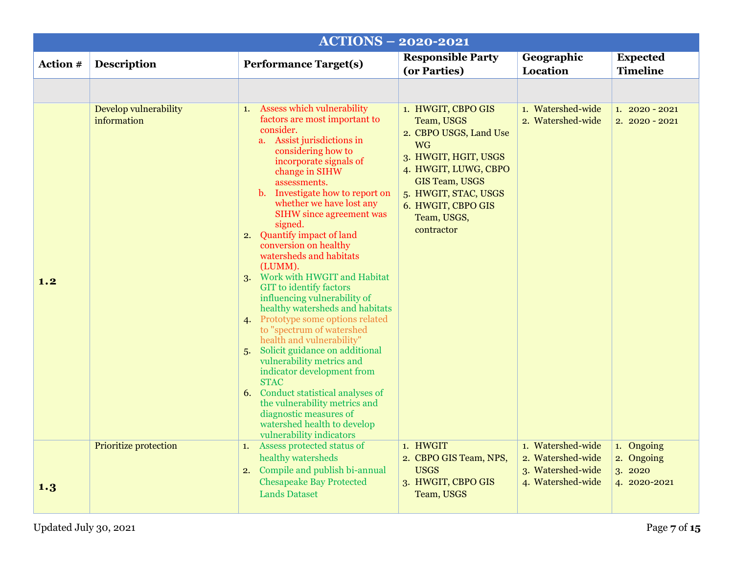<span id="page-6-1"></span><span id="page-6-0"></span>

|          |                                      | <b>ACTIONS - 2020-2021</b>                                                                                                                                                                                                                                                                                                                                                                                                                                                                                                                                                                                                                                                                                                                                                                                                                                                                                             |                                                                                                                                                                                                                             |                                                             |                                    |
|----------|--------------------------------------|------------------------------------------------------------------------------------------------------------------------------------------------------------------------------------------------------------------------------------------------------------------------------------------------------------------------------------------------------------------------------------------------------------------------------------------------------------------------------------------------------------------------------------------------------------------------------------------------------------------------------------------------------------------------------------------------------------------------------------------------------------------------------------------------------------------------------------------------------------------------------------------------------------------------|-----------------------------------------------------------------------------------------------------------------------------------------------------------------------------------------------------------------------------|-------------------------------------------------------------|------------------------------------|
| Action # | <b>Description</b>                   | <b>Performance Target(s)</b>                                                                                                                                                                                                                                                                                                                                                                                                                                                                                                                                                                                                                                                                                                                                                                                                                                                                                           | <b>Responsible Party</b><br>(or Parties)                                                                                                                                                                                    | Geographic<br>Location                                      | <b>Expected</b><br><b>Timeline</b> |
|          |                                      |                                                                                                                                                                                                                                                                                                                                                                                                                                                                                                                                                                                                                                                                                                                                                                                                                                                                                                                        |                                                                                                                                                                                                                             |                                                             |                                    |
| 1.2      | Develop vulnerability<br>information | 1. Assess which vulnerability<br>factors are most important to<br>consider.<br>a. Assist jurisdictions in<br>considering how to<br>incorporate signals of<br>change in SIHW<br>assessments.<br>b. Investigate how to report on<br>whether we have lost any<br><b>SIHW</b> since agreement was<br>signed.<br>2. Quantify impact of land<br>conversion on healthy<br>watersheds and habitats<br>(LUMM).<br>3. Work with HWGIT and Habitat<br><b>GIT</b> to identify factors<br>influencing vulnerability of<br>healthy watersheds and habitats<br>4. Prototype some options related<br>to "spectrum of watershed<br>health and vulnerability"<br>5. Solicit guidance on additional<br>vulnerability metrics and<br>indicator development from<br><b>STAC</b><br>6. Conduct statistical analyses of<br>the vulnerability metrics and<br>diagnostic measures of<br>watershed health to develop<br>vulnerability indicators | 1. HWGIT, CBPO GIS<br>Team, USGS<br>2. CBPO USGS, Land Use<br><b>WG</b><br>3. HWGIT, HGIT, USGS<br>4. HWGIT, LUWG, CBPO<br><b>GIS Team, USGS</b><br>5. HWGIT, STAC, USGS<br>6. HWGIT, CBPO GIS<br>Team, USGS,<br>contractor | 1. Watershed-wide<br>2. Watershed-wide                      | $1.2020 - 2021$<br>$2.2020 - 2021$ |
|          | <b>Prioritize protection</b>         | 1. Assess protected status of<br>healthy watersheds<br>2. Compile and publish bi-annual                                                                                                                                                                                                                                                                                                                                                                                                                                                                                                                                                                                                                                                                                                                                                                                                                                | 1. HWGIT<br>2. CBPO GIS Team, NPS,<br><b>USGS</b>                                                                                                                                                                           | 1. Watershed-wide<br>2. Watershed-wide<br>3. Watershed-wide | 1. Ongoing<br>2. Ongoing<br>3.2020 |
| 1.3      |                                      | <b>Chesapeake Bay Protected</b><br><b>Lands Dataset</b>                                                                                                                                                                                                                                                                                                                                                                                                                                                                                                                                                                                                                                                                                                                                                                                                                                                                | 3. HWGIT, CBPO GIS<br>Team, USGS                                                                                                                                                                                            | 4. Watershed-wide                                           | 4. 2020-2021                       |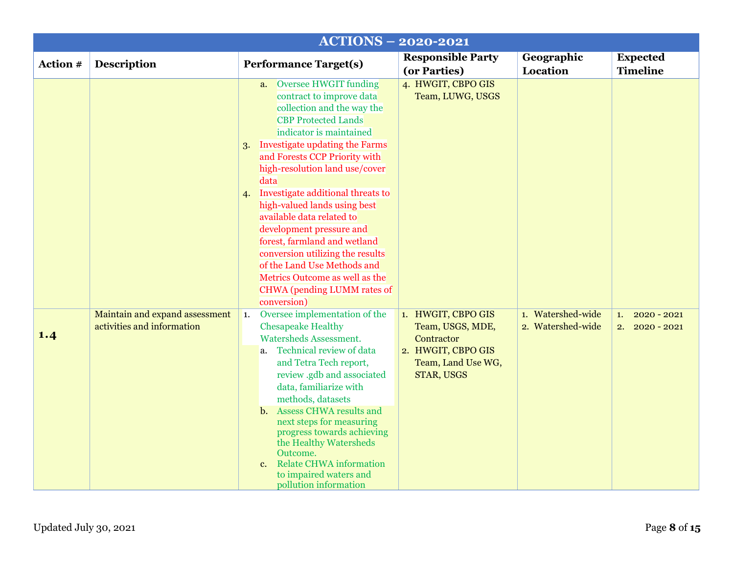<span id="page-7-0"></span>

|          |                                                              | <b>ACTIONS - 2020-2021</b>                                                                                                                                                                                                                                                                                                                                                                                                                                                                                                                                                                |                                                                                                                |                                        |                                            |
|----------|--------------------------------------------------------------|-------------------------------------------------------------------------------------------------------------------------------------------------------------------------------------------------------------------------------------------------------------------------------------------------------------------------------------------------------------------------------------------------------------------------------------------------------------------------------------------------------------------------------------------------------------------------------------------|----------------------------------------------------------------------------------------------------------------|----------------------------------------|--------------------------------------------|
| Action # | <b>Description</b>                                           | <b>Performance Target(s)</b>                                                                                                                                                                                                                                                                                                                                                                                                                                                                                                                                                              | <b>Responsible Party</b><br>(or Parties)                                                                       | Geographic<br><b>Location</b>          | <b>Expected</b><br><b>Timeline</b>         |
|          |                                                              | a. Oversee HWGIT funding<br>contract to improve data<br>collection and the way the<br><b>CBP Protected Lands</b><br>indicator is maintained<br>3. Investigate updating the Farms<br>and Forests CCP Priority with<br>high-resolution land use/cover<br>data<br>Investigate additional threats to<br>4.<br>high-valued lands using best<br>available data related to<br>development pressure and<br>forest, farmland and wetland<br>conversion utilizing the results<br>of the Land Use Methods and<br>Metrics Outcome as well as the<br><b>CHWA</b> (pending LUMM rates of<br>conversion) | 4. HWGIT, CBPO GIS<br>Team, LUWG, USGS                                                                         |                                        |                                            |
| 1.4      | Maintain and expand assessment<br>activities and information | Oversee implementation of the<br>$\mathbf{1}$ .<br><b>Chesapeake Healthy</b><br><b>Watersheds Assessment.</b><br>a. Technical review of data<br>and Tetra Tech report,<br>review .gdb and associated<br>data, familiarize with<br>methods, datasets<br>b. Assess CHWA results and<br>next steps for measuring<br>progress towards achieving<br>the Healthy Watersheds<br>Outcome.<br><b>Relate CHWA information</b><br>c.<br>to impaired waters and<br>pollution information                                                                                                              | 1. HWGIT, CBPO GIS<br>Team, USGS, MDE,<br>Contractor<br>2. HWGIT, CBPO GIS<br>Team, Land Use WG,<br>STAR, USGS | 1. Watershed-wide<br>2. Watershed-wide | $2020 - 2021$<br>1.<br>2.<br>$2020 - 2021$ |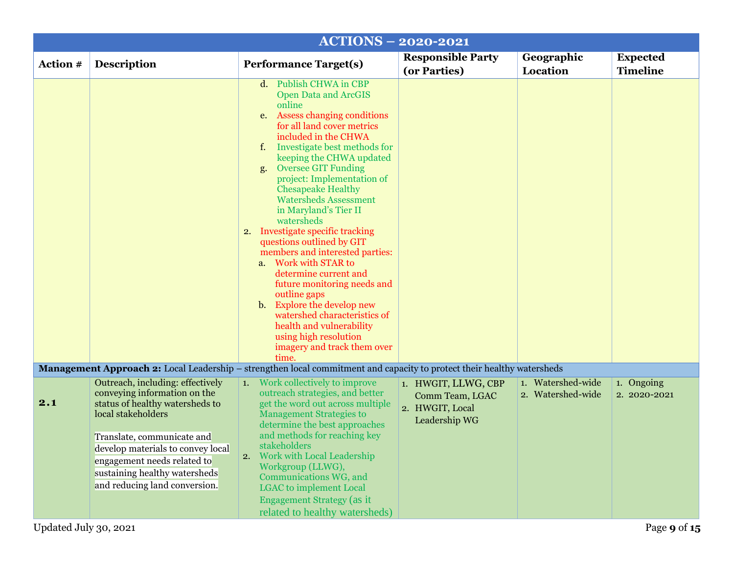<span id="page-8-0"></span>

|          |                                                                                                                                                                  | <b>ACTIONS - 2020-2021</b>                                                                                                                                                                                                                                                                                                                                                                                                                                                                                                                                                                                                                                                                                                                                 |                                                                            |                                        |                                    |
|----------|------------------------------------------------------------------------------------------------------------------------------------------------------------------|------------------------------------------------------------------------------------------------------------------------------------------------------------------------------------------------------------------------------------------------------------------------------------------------------------------------------------------------------------------------------------------------------------------------------------------------------------------------------------------------------------------------------------------------------------------------------------------------------------------------------------------------------------------------------------------------------------------------------------------------------------|----------------------------------------------------------------------------|----------------------------------------|------------------------------------|
| Action # | <b>Description</b>                                                                                                                                               | <b>Performance Target(s)</b>                                                                                                                                                                                                                                                                                                                                                                                                                                                                                                                                                                                                                                                                                                                               | <b>Responsible Party</b><br>(or Parties)                                   | Geographic<br>Location                 | <b>Expected</b><br><b>Timeline</b> |
|          |                                                                                                                                                                  | d. Publish CHWA in CBP<br><b>Open Data and ArcGIS</b><br>online<br>e. Assess changing conditions<br>for all land cover metrics<br>included in the CHWA<br>f. Investigate best methods for<br>keeping the CHWA updated<br><b>Oversee GIT Funding</b><br>g.<br>project: Implementation of<br><b>Chesapeake Healthy</b><br><b>Watersheds Assessment</b><br>in Maryland's Tier II<br>watersheds<br>2. Investigate specific tracking<br>questions outlined by GIT<br>members and interested parties:<br>a. Work with STAR to<br>determine current and<br>future monitoring needs and<br>outline gaps<br>b. Explore the develop new<br>watershed characteristics of<br>health and vulnerability<br>using high resolution<br>imagery and track them over<br>time. |                                                                            |                                        |                                    |
|          |                                                                                                                                                                  | <b>Management Approach 2:</b> Local Leadership – strengthen local commitment and capacity to protect their healthy watersheds                                                                                                                                                                                                                                                                                                                                                                                                                                                                                                                                                                                                                              |                                                                            |                                        |                                    |
| 2.1      | Outreach, including: effectively<br>conveying information on the<br>status of healthy watersheds to<br>local stakeholders                                        | <b>1.</b> Work collectively to improve<br>outreach strategies, and better<br>get the word out across multiple<br><b>Management Strategies to</b><br>determine the best approaches                                                                                                                                                                                                                                                                                                                                                                                                                                                                                                                                                                          | 1. HWGIT, LLWG, CBP<br>Comm Team, LGAC<br>2. HWGIT, Local<br>Leadership WG | 1. Watershed-wide<br>2. Watershed-wide | 1. Ongoing<br>2. 2020-2021         |
|          | Translate, communicate and<br>develop materials to convey local<br>engagement needs related to<br>sustaining healthy watersheds<br>and reducing land conversion. | and methods for reaching key<br>stakeholders<br>2. Work with Local Leadership<br>Workgroup (LLWG),<br>Communications WG, and<br><b>LGAC</b> to implement Local<br><b>Engagement Strategy (as it</b><br>related to healthy watersheds)                                                                                                                                                                                                                                                                                                                                                                                                                                                                                                                      |                                                                            |                                        |                                    |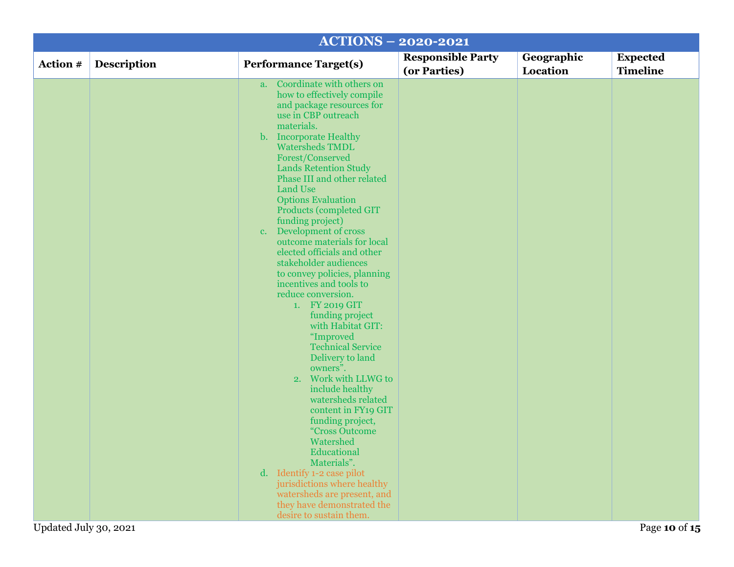|                       |                    |                                                                                                                                                                                                                                                                                                                                                                                                                                                                                                                                                                                                                                                                                                                                                                                                                                                                                                                                                                                                                                           | <b>ACTIONS - 2020-2021</b>               |                        |                                    |
|-----------------------|--------------------|-------------------------------------------------------------------------------------------------------------------------------------------------------------------------------------------------------------------------------------------------------------------------------------------------------------------------------------------------------------------------------------------------------------------------------------------------------------------------------------------------------------------------------------------------------------------------------------------------------------------------------------------------------------------------------------------------------------------------------------------------------------------------------------------------------------------------------------------------------------------------------------------------------------------------------------------------------------------------------------------------------------------------------------------|------------------------------------------|------------------------|------------------------------------|
| Action #              | <b>Description</b> | <b>Performance Target(s)</b>                                                                                                                                                                                                                                                                                                                                                                                                                                                                                                                                                                                                                                                                                                                                                                                                                                                                                                                                                                                                              | <b>Responsible Party</b><br>(or Parties) | Geographic<br>Location | <b>Expected</b><br><b>Timeline</b> |
|                       |                    | a. Coordinate with others on<br>how to effectively compile<br>and package resources for<br>use in CBP outreach<br>materials.<br>b. Incorporate Healthy<br><b>Watersheds TMDL</b><br>Forest/Conserved<br><b>Lands Retention Study</b><br>Phase III and other related<br><b>Land Use</b><br><b>Options Evaluation</b><br>Products (completed GIT<br>funding project)<br>Development of cross<br>c.<br>outcome materials for local<br>elected officials and other<br>stakeholder audiences<br>to convey policies, planning<br>incentives and tools to<br>reduce conversion.<br>1. FY 2019 GIT<br>funding project<br>with Habitat GIT:<br>"Improved<br><b>Technical Service</b><br>Delivery to land<br>owners".<br>2. Work with LLWG to<br>include healthy<br>watersheds related<br>content in FY19 GIT<br>funding project,<br>"Cross Outcome<br>Watershed<br>Educational<br>Materials".<br>d. Identify 1-2 case pilot<br>jurisdictions where healthy<br>watersheds are present, and<br>they have demonstrated the<br>desire to sustain them. |                                          |                        |                                    |
| Updated July 30, 2021 |                    |                                                                                                                                                                                                                                                                                                                                                                                                                                                                                                                                                                                                                                                                                                                                                                                                                                                                                                                                                                                                                                           |                                          |                        | Page 10 of 15                      |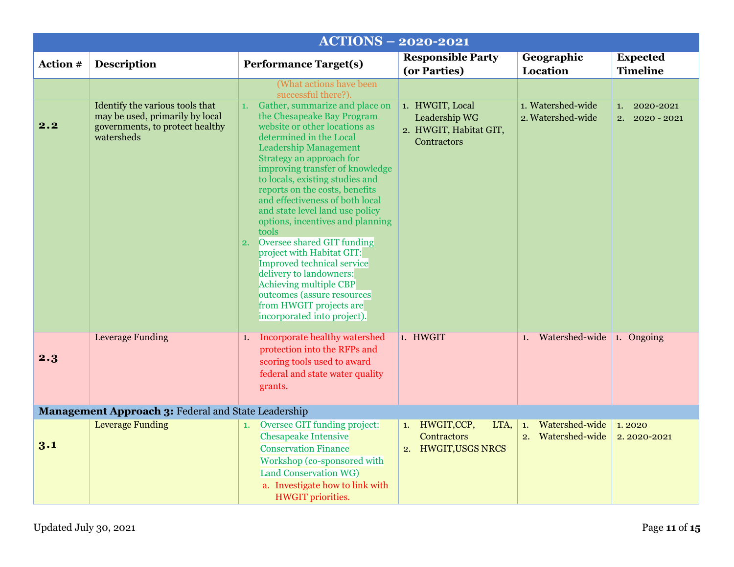<span id="page-10-1"></span><span id="page-10-0"></span>

|                 |                                                                                                                     | <b>ACTIONS - 2020-2021</b>                                                                                                                                                                                                                                                                                                                                                                                                                                                                                                                                                                                                                                                                   |                                                                           |                                           |                                        |
|-----------------|---------------------------------------------------------------------------------------------------------------------|----------------------------------------------------------------------------------------------------------------------------------------------------------------------------------------------------------------------------------------------------------------------------------------------------------------------------------------------------------------------------------------------------------------------------------------------------------------------------------------------------------------------------------------------------------------------------------------------------------------------------------------------------------------------------------------------|---------------------------------------------------------------------------|-------------------------------------------|----------------------------------------|
| <b>Action #</b> | <b>Description</b>                                                                                                  | <b>Performance Target(s)</b>                                                                                                                                                                                                                                                                                                                                                                                                                                                                                                                                                                                                                                                                 | <b>Responsible Party</b><br>(or Parties)                                  | Geographic<br><b>Location</b>             | <b>Expected</b><br><b>Timeline</b>     |
|                 |                                                                                                                     | (What actions have been                                                                                                                                                                                                                                                                                                                                                                                                                                                                                                                                                                                                                                                                      |                                                                           |                                           |                                        |
| 2.2             | Identify the various tools that<br>may be used, primarily by local<br>governments, to protect healthy<br>watersheds | successful there?).<br>1. Gather, summarize and place on<br>the Chesapeake Bay Program<br>website or other locations as<br>determined in the Local<br><b>Leadership Management</b><br>Strategy an approach for<br>improving transfer of knowledge<br>to locals, existing studies and<br>reports on the costs, benefits<br>and effectiveness of both local<br>and state level land use policy<br>options, incentives and planning<br>tools<br>Oversee shared GIT funding<br>2.<br>project with Habitat GIT:<br><b>Improved technical service</b><br>delivery to landowners:<br>Achieving multiple CBP<br>outcomes (assure resources<br>from HWGIT projects are<br>incorporated into project). | 1. HWGIT, Local<br>Leadership WG<br>2. HWGIT, Habitat GIT,<br>Contractors | 1. Watershed-wide<br>2. Watershed-wide    | 1. 2020-2021<br>$2. \quad 2020 - 2021$ |
| 2.3             | <b>Leverage Funding</b>                                                                                             | Incorporate healthy watershed<br>1.<br>protection into the RFPs and<br>scoring tools used to award<br>federal and state water quality<br>grants.                                                                                                                                                                                                                                                                                                                                                                                                                                                                                                                                             | 1. HWGIT                                                                  | Watershed-wide<br>1.                      | 1. Ongoing                             |
|                 | Management Approach 3: Federal and State Leadership                                                                 |                                                                                                                                                                                                                                                                                                                                                                                                                                                                                                                                                                                                                                                                                              |                                                                           |                                           |                                        |
| 3.1             | <b>Leverage Funding</b>                                                                                             | Oversee GIT funding project:<br>1.<br><b>Chesapeake Intensive</b><br><b>Conservation Finance</b><br>Workshop (co-sponsored with<br>Land Conservation WG)<br>a. Investigate how to link with<br><b>HWGIT</b> priorities.                                                                                                                                                                                                                                                                                                                                                                                                                                                                      | HWGIT,CCP,<br>LTA,<br>1.<br><b>Contractors</b><br>2. HWGIT, USGS NRCS     | Watershed-wide<br>1.<br>2. Watershed-wide | 1.2020<br>2.2020-2021                  |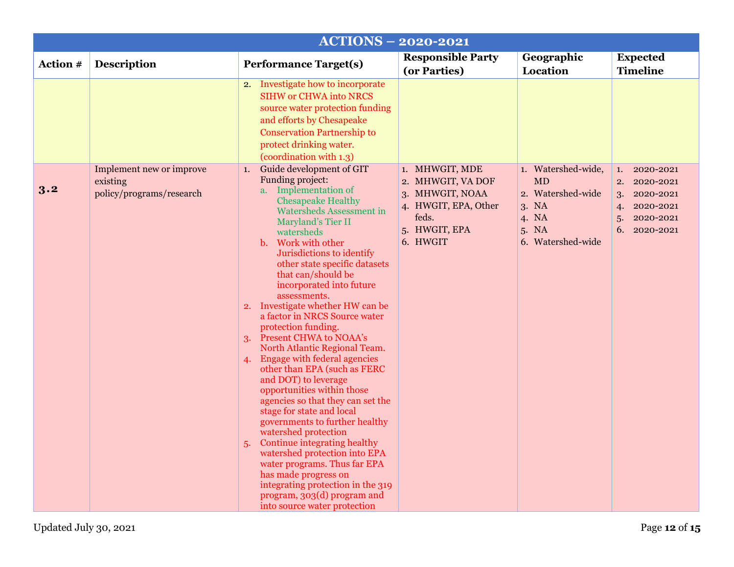<span id="page-11-0"></span>

|          | <b>ACTIONS - 2020-2021</b>                                       |                                                                                                                                                                                                                                                                                                                                                                                                                                                                                                                                                                                                                                                                                                                                                                                                                                                                                                                                                                                                     |                                                                                                                      |                                                                                                      |                                                                                                                |  |
|----------|------------------------------------------------------------------|-----------------------------------------------------------------------------------------------------------------------------------------------------------------------------------------------------------------------------------------------------------------------------------------------------------------------------------------------------------------------------------------------------------------------------------------------------------------------------------------------------------------------------------------------------------------------------------------------------------------------------------------------------------------------------------------------------------------------------------------------------------------------------------------------------------------------------------------------------------------------------------------------------------------------------------------------------------------------------------------------------|----------------------------------------------------------------------------------------------------------------------|------------------------------------------------------------------------------------------------------|----------------------------------------------------------------------------------------------------------------|--|
| Action # | <b>Description</b>                                               | <b>Performance Target(s)</b>                                                                                                                                                                                                                                                                                                                                                                                                                                                                                                                                                                                                                                                                                                                                                                                                                                                                                                                                                                        | <b>Responsible Party</b><br>(or Parties)                                                                             | Geographic<br><b>Location</b>                                                                        | <b>Expected</b><br><b>Timeline</b>                                                                             |  |
|          |                                                                  | 2. Investigate how to incorporate<br><b>SIHW or CHWA into NRCS</b><br>source water protection funding<br>and efforts by Chesapeake<br><b>Conservation Partnership to</b><br>protect drinking water.<br>(coordination with 1.3)                                                                                                                                                                                                                                                                                                                                                                                                                                                                                                                                                                                                                                                                                                                                                                      |                                                                                                                      |                                                                                                      |                                                                                                                |  |
| 3.2      | Implement new or improve<br>existing<br>policy/programs/research | Guide development of GIT<br>1.<br>Funding project:<br>a. Implementation of<br><b>Chesapeake Healthy</b><br><b>Watersheds Assessment in</b><br>Maryland's Tier II<br>watersheds<br>Work with other<br>b.<br>Jurisdictions to identify<br>other state specific datasets<br>that can/should be<br>incorporated into future<br>assessments.<br>2. Investigate whether HW can be<br>a factor in NRCS Source water<br>protection funding.<br>3. Present CHWA to NOAA's<br>North Atlantic Regional Team.<br><b>Engage with federal agencies</b><br>4.<br>other than EPA (such as FERC<br>and DOT) to leverage<br>opportunities within those<br>agencies so that they can set the<br>stage for state and local<br>governments to further healthy<br>watershed protection<br>Continue integrating healthy<br>5.<br>watershed protection into EPA<br>water programs. Thus far EPA<br>has made progress on<br>integrating protection in the 319<br>program, 303(d) program and<br>into source water protection | 1. MHWGIT, MDE<br>2. MHWGIT, VA DOF<br>3. MHWGIT, NOAA<br>4. HWGIT, EPA, Other<br>feds.<br>5. HWGIT, EPA<br>6. HWGIT | 1. Watershed-wide,<br><b>MD</b><br>2. Watershed-wide<br>3. NA<br>4. NA<br>5. NA<br>6. Watershed-wide | 2020-2021<br>1.<br>2020-2021<br>2.<br>2020-2021<br>3.<br>2020-2021<br>4.<br>2020-2021<br>5.<br>6.<br>2020-2021 |  |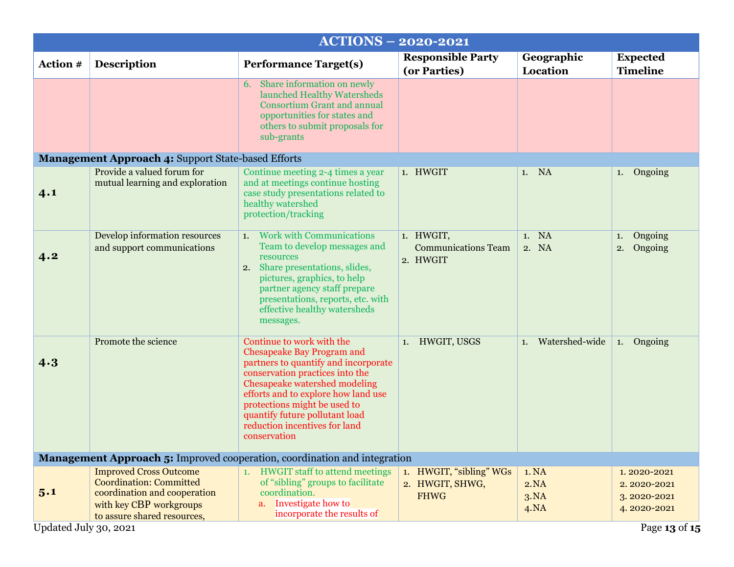<span id="page-12-3"></span><span id="page-12-2"></span><span id="page-12-1"></span><span id="page-12-0"></span>

| <b>ACTIONS - 2020-2021</b>                                |                                                                                                                                                           |                                                                                                                                                                                                                                                                                                                                      |                                                           |                               |                                                          |  |  |
|-----------------------------------------------------------|-----------------------------------------------------------------------------------------------------------------------------------------------------------|--------------------------------------------------------------------------------------------------------------------------------------------------------------------------------------------------------------------------------------------------------------------------------------------------------------------------------------|-----------------------------------------------------------|-------------------------------|----------------------------------------------------------|--|--|
| Action #                                                  | <b>Description</b>                                                                                                                                        | <b>Performance Target(s)</b>                                                                                                                                                                                                                                                                                                         | <b>Responsible Party</b><br>(or Parties)                  | Geographic<br>Location        | <b>Expected</b><br><b>Timeline</b>                       |  |  |
|                                                           |                                                                                                                                                           | Share information on newly<br>6.<br>launched Healthy Watersheds<br><b>Consortium Grant and annual</b><br>opportunities for states and<br>others to submit proposals for<br>sub-grants                                                                                                                                                |                                                           |                               |                                                          |  |  |
| <b>Management Approach 4: Support State-based Efforts</b> |                                                                                                                                                           |                                                                                                                                                                                                                                                                                                                                      |                                                           |                               |                                                          |  |  |
| 4.1                                                       | Provide a valued forum for<br>mutual learning and exploration                                                                                             | Continue meeting 2-4 times a year<br>and at meetings continue hosting<br>case study presentations related to<br>healthy watershed<br>protection/tracking                                                                                                                                                                             | 1. HWGIT                                                  | 1. NA                         | 1. Ongoing                                               |  |  |
| 4.2                                                       | Develop information resources<br>and support communications                                                                                               | 1. Work with Communications<br>Team to develop messages and<br>resources<br>2. Share presentations, slides,<br>pictures, graphics, to help<br>partner agency staff prepare<br>presentations, reports, etc. with<br>effective healthy watersheds<br>messages.                                                                         | 1. HWGIT,<br><b>Communications Team</b><br>2. HWGIT       | 1. NA<br>2. NA                | Ongoing<br>1.<br>Ongoing<br>2.                           |  |  |
| 4.3                                                       | Promote the science                                                                                                                                       | Continue to work with the<br><b>Chesapeake Bay Program and</b><br>partners to quantify and incorporate<br>conservation practices into the<br>Chesapeake watershed modeling<br>efforts and to explore how land use<br>protections might be used to<br>quantify future pollutant load<br>reduction incentives for land<br>conservation | 1. HWGIT, USGS                                            | Watershed-wide<br>1.          | Ongoing<br>1.                                            |  |  |
|                                                           | <b>Management Approach 5:</b> Improved cooperation, coordination and integration                                                                          |                                                                                                                                                                                                                                                                                                                                      |                                                           |                               |                                                          |  |  |
| 5.1                                                       | <b>Improved Cross Outcome</b><br><b>Coordination: Committed</b><br>coordination and cooperation<br>with key CBP workgroups<br>to assure shared resources, | 1. HWGIT staff to attend meetings<br>of "sibling" groups to facilitate<br>coordination.<br>Investigate how to<br>a.<br>incorporate the results of                                                                                                                                                                                    | 1. HWGIT, "sibling" WGs<br>2. HWGIT, SHWG,<br><b>FHWG</b> | 1. NA<br>2.NA<br>3.NA<br>4.NA | 1.2020-2021<br>2.2020-2021<br>3.2020-2021<br>4.2020-2021 |  |  |
| Updated July 30, 2021<br>Page 13 of 15                    |                                                                                                                                                           |                                                                                                                                                                                                                                                                                                                                      |                                                           |                               |                                                          |  |  |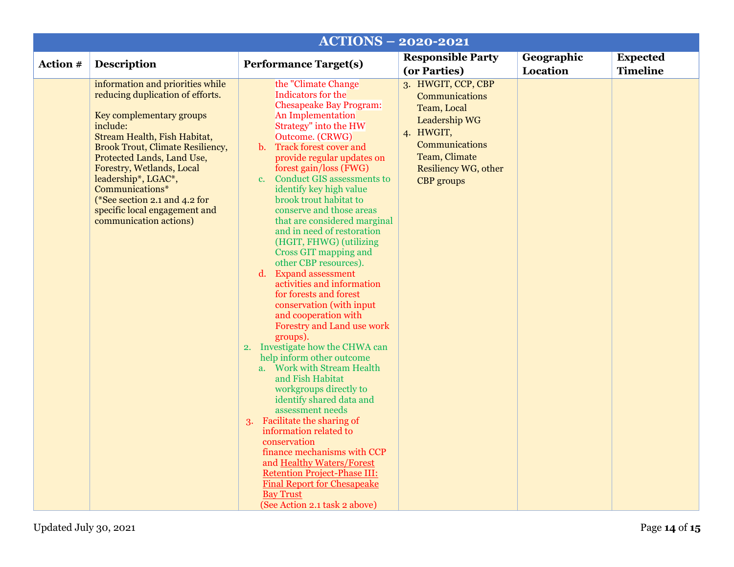| <b>ACTIONS - 2020-2021</b> |                                                                                                                                                                                                                                                                                                                                                                                          |                                                                                                                                                                                                                                                                                                                                                                                                                                                                                                                                                                                                                                                                                                                                                                                                                                                                                                                                                                                                                                                                                                                                                                                               |                                                                                                                                                                   |                        |                                    |
|----------------------------|------------------------------------------------------------------------------------------------------------------------------------------------------------------------------------------------------------------------------------------------------------------------------------------------------------------------------------------------------------------------------------------|-----------------------------------------------------------------------------------------------------------------------------------------------------------------------------------------------------------------------------------------------------------------------------------------------------------------------------------------------------------------------------------------------------------------------------------------------------------------------------------------------------------------------------------------------------------------------------------------------------------------------------------------------------------------------------------------------------------------------------------------------------------------------------------------------------------------------------------------------------------------------------------------------------------------------------------------------------------------------------------------------------------------------------------------------------------------------------------------------------------------------------------------------------------------------------------------------|-------------------------------------------------------------------------------------------------------------------------------------------------------------------|------------------------|------------------------------------|
| Action #                   | <b>Description</b>                                                                                                                                                                                                                                                                                                                                                                       | <b>Performance Target(s)</b>                                                                                                                                                                                                                                                                                                                                                                                                                                                                                                                                                                                                                                                                                                                                                                                                                                                                                                                                                                                                                                                                                                                                                                  | <b>Responsible Party</b><br>(or Parties)                                                                                                                          | Geographic<br>Location | <b>Expected</b><br><b>Timeline</b> |
|                            | information and priorities while<br>reducing duplication of efforts.<br>Key complementary groups<br>include:<br>Stream Health, Fish Habitat,<br><b>Brook Trout, Climate Resiliency,</b><br>Protected Lands, Land Use,<br>Forestry, Wetlands, Local<br>leadership*, LGAC*,<br>Communications*<br>(*See section 2.1 and 4.2 for<br>specific local engagement and<br>communication actions) | the "Climate Change"<br>Indicators for the<br><b>Chesapeake Bay Program:</b><br>An Implementation<br>Strategy" into the HW<br>Outcome. (CRWG)<br><b>Track forest cover and</b><br>$\mathbf{b}$ .<br>provide regular updates on<br>forest gain/loss (FWG)<br><b>Conduct GIS assessments to</b><br>$\mathbf{c}$ .<br>identify key high value<br>brook trout habitat to<br>conserve and those areas<br>that are considered marginal<br>and in need of restoration<br>(HGIT, FHWG) (utilizing<br>Cross GIT mapping and<br>other CBP resources).<br>d. Expand assessment<br>activities and information<br>for forests and forest<br>conservation (with input<br>and cooperation with<br>Forestry and Land use work<br>groups).<br>2. Investigate how the CHWA can<br>help inform other outcome<br>a. Work with Stream Health<br>and Fish Habitat<br>workgroups directly to<br>identify shared data and<br>assessment needs<br>3. Facilitate the sharing of<br>information related to<br>conservation<br>finance mechanisms with CCP<br>and Healthy Waters/Forest<br><b>Retention Project-Phase III:</b><br><b>Final Report for Chesapeake</b><br><b>Bay Trust</b><br>(See Action 2.1 task 2 above) | 3. HWGIT, CCP, CBP<br>Communications<br>Team, Local<br>Leadership WG<br>4. HWGIT,<br>Communications<br>Team, Climate<br>Resiliency WG, other<br><b>CBP</b> groups |                        |                                    |